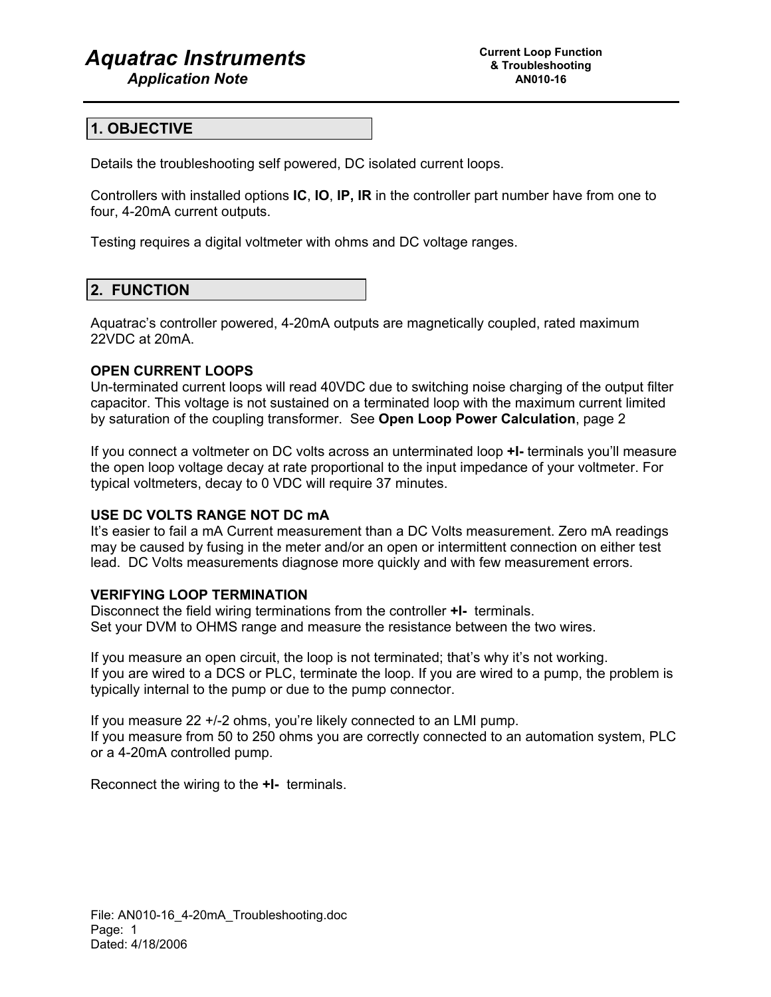# *Aquatrac Instruments*

# **1. OBJECTIVE**

Details the troubleshooting self powered, DC isolated current loops.

Controllers with installed options **IC**, **IO**, **IP, IR** in the controller part number have from one to four, 4-20mA current outputs.

Testing requires a digital voltmeter with ohms and DC voltage ranges.

# **2. FUNCTION**

Aquatrac's controller powered, 4-20mA outputs are magnetically coupled, rated maximum 22VDC at 20mA.

## **OPEN CURRENT LOOPS**

Un-terminated current loops will read 40VDC due to switching noise charging of the output filter capacitor. This voltage is not sustained on a terminated loop with the maximum current limited by saturation of the coupling transformer. See **Open Loop Power Calculation**, page 2

If you connect a voltmeter on DC volts across an unterminated loop **+I-** terminals you'll measure the open loop voltage decay at rate proportional to the input impedance of your voltmeter. For typical voltmeters, decay to 0 VDC will require 37 minutes.

## **USE DC VOLTS RANGE NOT DC mA**

It's easier to fail a mA Current measurement than a DC Volts measurement. Zero mA readings may be caused by fusing in the meter and/or an open or intermittent connection on either test lead. DC Volts measurements diagnose more quickly and with few measurement errors.

## **VERIFYING LOOP TERMINATION**

Disconnect the field wiring terminations from the controller **+I-** terminals. Set your DVM to OHMS range and measure the resistance between the two wires.

If you measure an open circuit, the loop is not terminated; that's why it's not working. If you are wired to a DCS or PLC, terminate the loop. If you are wired to a pump, the problem is typically internal to the pump or due to the pump connector.

If you measure 22 +/-2 ohms, you're likely connected to an LMI pump. If you measure from 50 to 250 ohms you are correctly connected to an automation system, PLC or a 4-20mA controlled pump.

Reconnect the wiring to the **+I-** terminals.